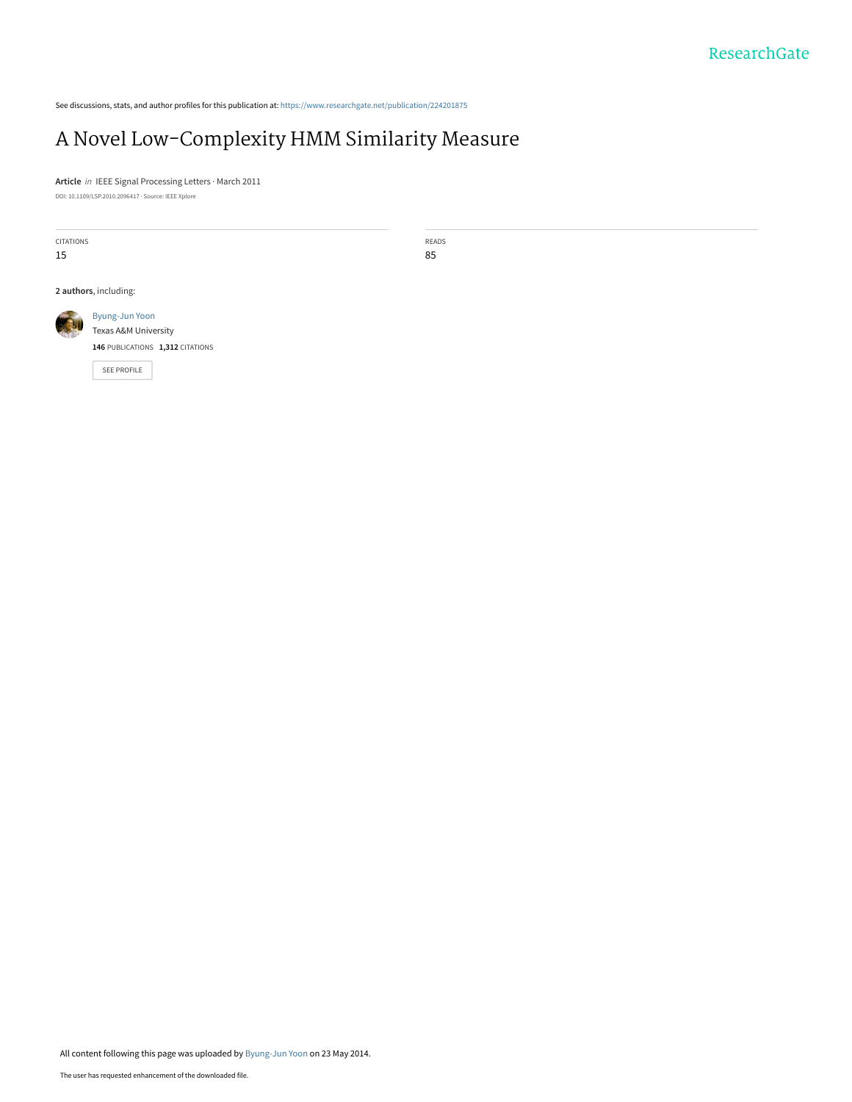See discussions, stats, and author profiles for this publication at: [https://www.researchgate.net/publication/224201875](https://www.researchgate.net/publication/224201875_A_Novel_Low-Complexity_HMM_Similarity_Measure?enrichId=rgreq-baf963f1d1dda9102bd74ab20e674805-XXX&enrichSource=Y292ZXJQYWdlOzIyNDIwMTg3NTtBUzoxMDAwNDUwNTE0MDAyMDlAMTQwMDg2NDAwODIwNQ%3D%3D&el=1_x_2&_esc=publicationCoverPdf)

# [A Novel Low-Complexity HMM Similarity Measure](https://www.researchgate.net/publication/224201875_A_Novel_Low-Complexity_HMM_Similarity_Measure?enrichId=rgreq-baf963f1d1dda9102bd74ab20e674805-XXX&enrichSource=Y292ZXJQYWdlOzIyNDIwMTg3NTtBUzoxMDAwNDUwNTE0MDAyMDlAMTQwMDg2NDAwODIwNQ%3D%3D&el=1_x_3&_esc=publicationCoverPdf)

**Article** in IEEE Signal Processing Letters · March 2011 DOI: 10.1109/LSP.2010.2096417 · Source: IEEE Xplore

CITATIONS 15

READS 85

**2 authors**, including:



**146** PUBLICATIONS **1,312** CITATIONS

[SEE PROFILE](https://www.researchgate.net/profile/Byung-Jun_Yoon?enrichId=rgreq-baf963f1d1dda9102bd74ab20e674805-XXX&enrichSource=Y292ZXJQYWdlOzIyNDIwMTg3NTtBUzoxMDAwNDUwNTE0MDAyMDlAMTQwMDg2NDAwODIwNQ%3D%3D&el=1_x_7&_esc=publicationCoverPdf)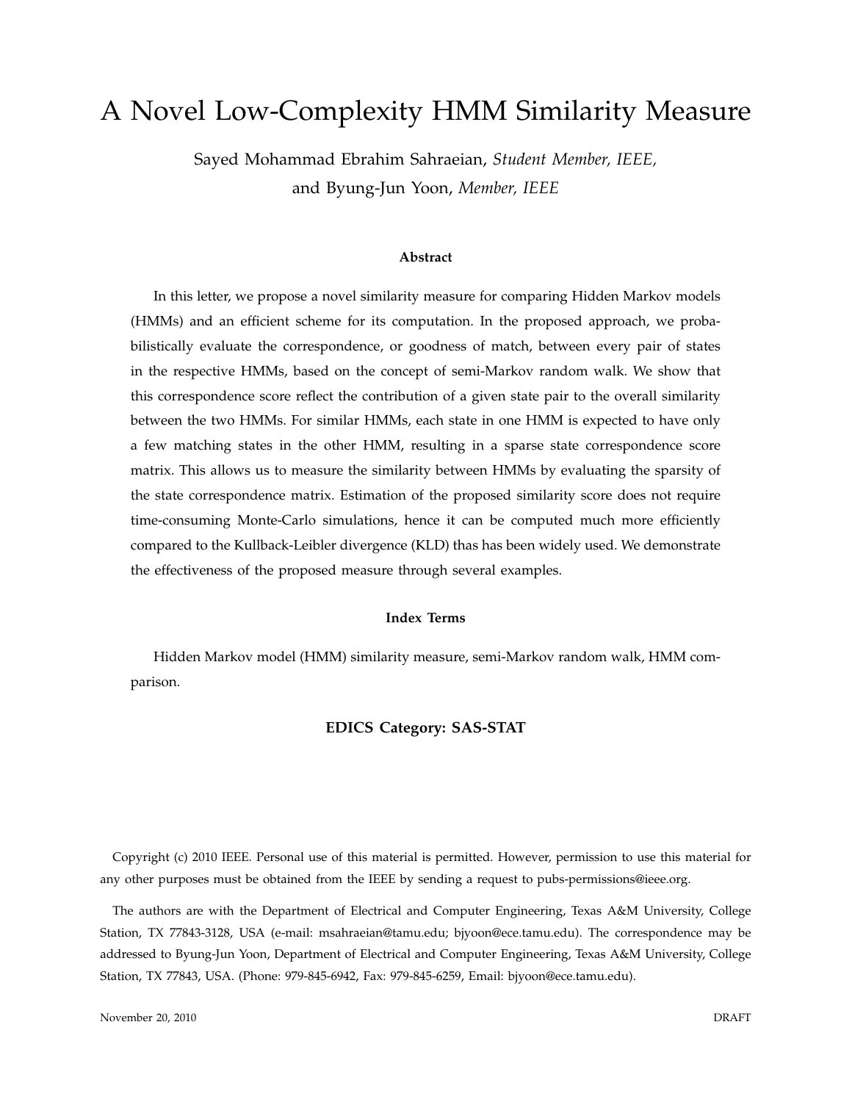# A Novel Low-Complexity HMM Similarity Measure

Sayed Mohammad Ebrahim Sahraeian, *Student Member, IEEE,* and Byung-Jun Yoon, *Member, IEEE*

#### **Abstract**

In this letter, we propose a novel similarity measure for comparing Hidden Markov models (HMMs) and an efficient scheme for its computation. In the proposed approach, we probabilistically evaluate the correspondence, or goodness of match, between every pair of states in the respective HMMs, based on the concept of semi-Markov random walk. We show that this correspondence score reflect the contribution of a given state pair to the overall similarity between the two HMMs. For similar HMMs, each state in one HMM is expected to have only a few matching states in the other HMM, resulting in a sparse state correspondence score matrix. This allows us to measure the similarity between HMMs by evaluating the sparsity of the state correspondence matrix. Estimation of the proposed similarity score does not require time-consuming Monte-Carlo simulations, hence it can be computed much more efficiently compared to the Kullback-Leibler divergence (KLD) thas has been widely used. We demonstrate the effectiveness of the proposed measure through several examples.

#### **Index Terms**

Hidden Markov model (HMM) similarity measure, semi-Markov random walk, HMM comparison.

## **EDICS Category: SAS-STAT**

Copyright (c) 2010 IEEE. Personal use of this material is permitted. However, permission to use this material for any other purposes must be obtained from the IEEE by sending a request to pubs-permissions@ieee.org.

The authors are with the Department of Electrical and Computer Engineering, Texas A&M University, College Station, TX 77843-3128, USA (e-mail: msahraeian@tamu.edu; bjyoon@ece.tamu.edu). The correspondence may be addressed to Byung-Jun Yoon, Department of Electrical and Computer Engineering, Texas A&M University, College Station, TX 77843, USA. (Phone: 979-845-6942, Fax: 979-845-6259, Email: bjyoon@ece.tamu.edu).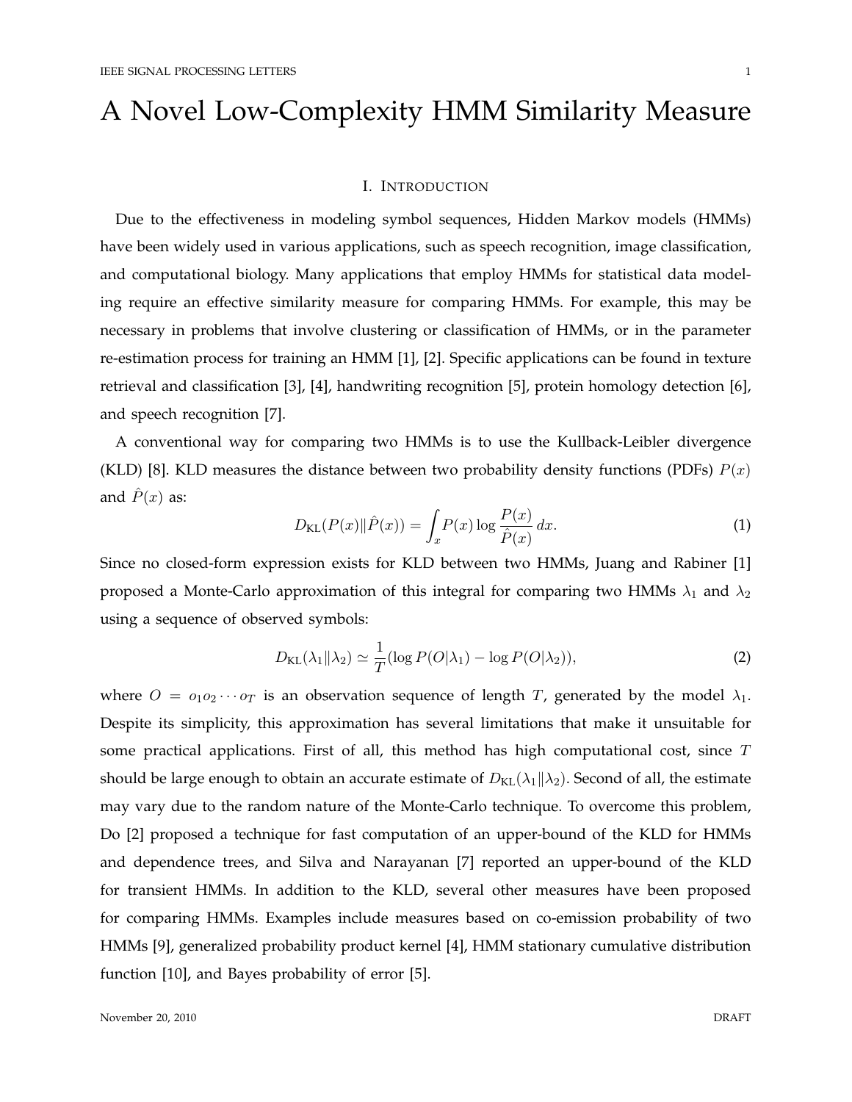# A Novel Low-Complexity HMM Similarity Measure

#### I. INTRODUCTION

Due to the effectiveness in modeling symbol sequences, Hidden Markov models (HMMs) have been widely used in various applications, such as speech recognition, image classification, and computational biology. Many applications that employ HMMs for statistical data modeling require an effective similarity measure for comparing HMMs. For example, this may be necessary in problems that involve clustering or classification of HMMs, or in the parameter re-estimation process for training an HMM [1], [2]. Specific applications can be found in texture retrieval and classification [3], [4], handwriting recognition [5], protein homology detection [6], and speech recognition [7].

A conventional way for comparing two HMMs is to use the Kullback-Leibler divergence (KLD) [8]. KLD measures the distance between two probability density functions (PDFs)  $P(x)$ and  $\hat{P}(x)$  as:

$$
D_{\text{KL}}(P(x)\|\hat{P}(x)) = \int_x P(x)\log\frac{P(x)}{\hat{P}(x)}\,dx.\tag{1}
$$

Since no closed-form expression exists for KLD between two HMMs, Juang and Rabiner [1] proposed a Monte-Carlo approximation of this integral for comparing two HMMs  $\lambda_1$  and  $\lambda_2$ using a sequence of observed symbols:

$$
D_{\text{KL}}(\lambda_1 \| \lambda_2) \simeq \frac{1}{T} (\log P(O|\lambda_1) - \log P(O|\lambda_2)), \tag{2}
$$

where  $O = o_1 o_2 \cdots o_T$  is an observation sequence of length T, generated by the model  $\lambda_1$ . Despite its simplicity, this approximation has several limitations that make it unsuitable for some practical applications. First of all, this method has high computational cost, since  $T$ should be large enough to obtain an accurate estimate of  $D_{\text{KL}}(\lambda_1 || \lambda_2)$ . Second of all, the estimate may vary due to the random nature of the Monte-Carlo technique. To overcome this problem, Do [2] proposed a technique for fast computation of an upper-bound of the KLD for HMMs and dependence trees, and Silva and Narayanan [7] reported an upper-bound of the KLD for transient HMMs. In addition to the KLD, several other measures have been proposed for comparing HMMs. Examples include measures based on co-emission probability of two HMMs [9], generalized probability product kernel [4], HMM stationary cumulative distribution function [10], and Bayes probability of error [5].

November 20, 2010 DRAFT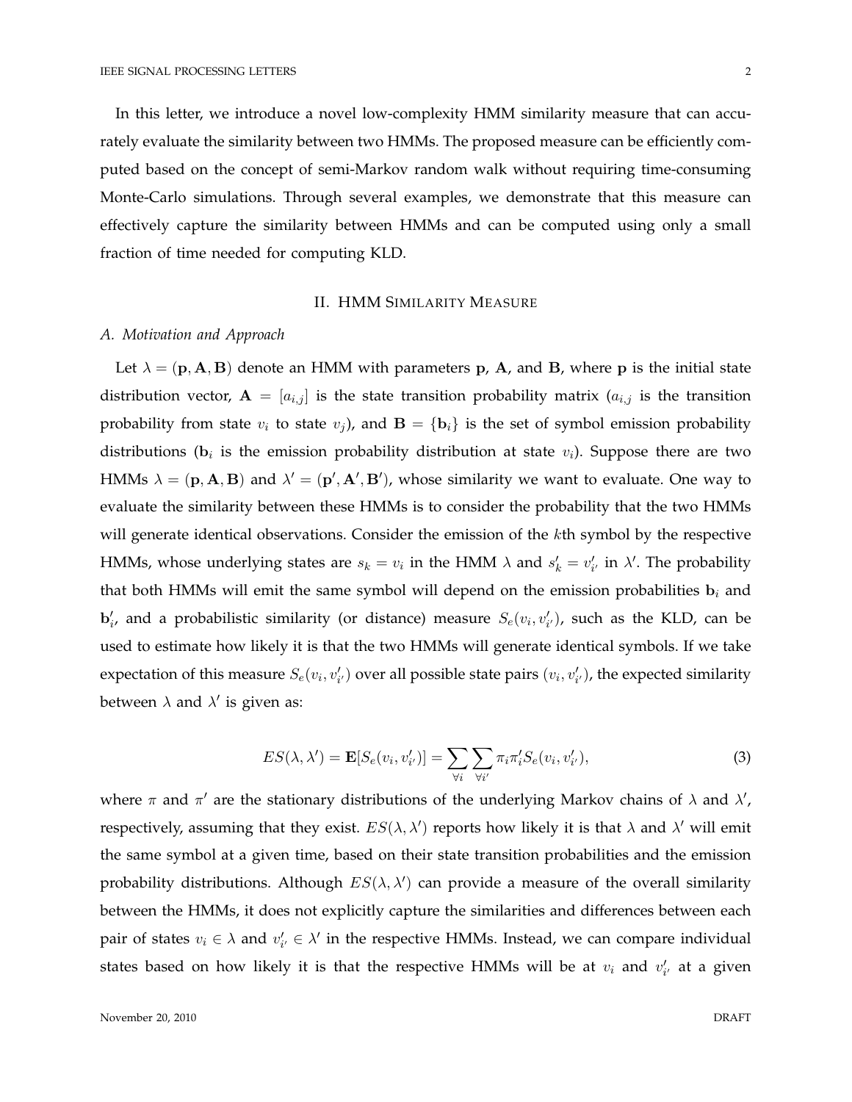In this letter, we introduce a novel low-complexity HMM similarity measure that can accurately evaluate the similarity between two HMMs. The proposed measure can be efficiently computed based on the concept of semi-Markov random walk without requiring time-consuming Monte-Carlo simulations. Through several examples, we demonstrate that this measure can effectively capture the similarity between HMMs and can be computed using only a small fraction of time needed for computing KLD.

# II. HMM SIMILARITY MEASURE

### *A. Motivation and Approach*

Let  $\lambda = (\mathbf{p}, \mathbf{A}, \mathbf{B})$  denote an HMM with parameters  $\mathbf{p}$ ,  $\mathbf{A}$ , and  $\mathbf{B}$ , where  $\mathbf{p}$  is the initial state distribution vector,  $A = [a_{i,j}]$  is the state transition probability matrix  $(a_{i,j}$  is the transition probability from state  $v_i$  to state  $v_j$ ), and  $\mathbf{B} = {\mathbf{b}_i}$  is the set of symbol emission probability distributions ( $\mathbf{b}_i$  is the emission probability distribution at state  $v_i$ ). Suppose there are two HMMs  $\lambda = (\mathbf{p}, \mathbf{A}, \mathbf{B})$  and  $\lambda' = (\mathbf{p}', \mathbf{A}', \mathbf{B}')$ , whose similarity we want to evaluate. One way to evaluate the similarity between these HMMs is to consider the probability that the two HMMs will generate identical observations. Consider the emission of the kth symbol by the respective HMMs, whose underlying states are  $s_k = v_i$  in the HMM  $\lambda$  and  $s'_k = v'_{i'}$  in  $\lambda'$ . The probability that both HMMs will emit the same symbol will depend on the emission probabilities  $b_i$  and  $\mathbf{b}'_i$ , and a probabilistic similarity (or distance) measure  $S_e(v_i, v'_{i'})$ , such as the KLD, can be used to estimate how likely it is that the two HMMs will generate identical symbols. If we take expectation of this measure  $S_e(v_i, v'_{i'})$  over all possible state pairs  $(v_i, v'_{i'})$ , the expected similarity between  $\lambda$  and  $\lambda'$  is given as:

$$
ES(\lambda, \lambda') = \mathbf{E}[S_e(v_i, v'_{i'})] = \sum_{\forall i} \sum_{\forall i'} \pi_i \pi'_i S_e(v_i, v'_{i'}),
$$
\n(3)

where  $\pi$  and  $\pi'$  are the stationary distributions of the underlying Markov chains of  $\lambda$  and  $\lambda'$ , respectively, assuming that they exist.  $ES(\lambda, \lambda')$  reports how likely it is that  $\lambda$  and  $\lambda'$  will emit the same symbol at a given time, based on their state transition probabilities and the emission probability distributions. Although  $ES(\lambda, \lambda')$  can provide a measure of the overall similarity between the HMMs, it does not explicitly capture the similarities and differences between each pair of states  $v_i \in \lambda$  and  $v'_{i'} \in \lambda'$  in the respective HMMs. Instead, we can compare individual states based on how likely it is that the respective HMMs will be at  $v_i$  and  $v'_{i'}$  at a given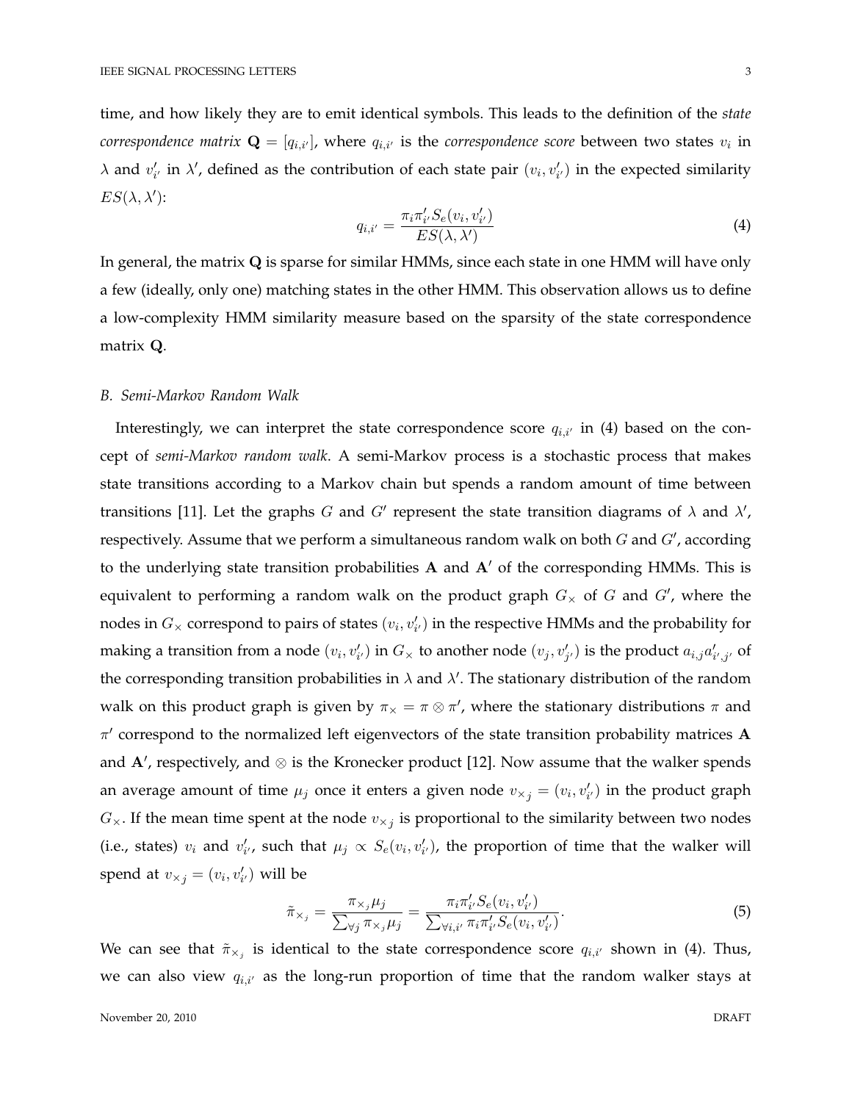time, and how likely they are to emit identical symbols. This leads to the definition of the *state correspondence matrix*  $\mathbf{Q} = [q_{i,i'}]$ *,* where  $q_{i,i'}$  is the *correspondence score* between two states  $v_i$  in  $\lambda$  and  $v'_{i'}$  in  $\lambda'$ , defined as the contribution of each state pair  $(v_i, v'_{i'})$  in the expected similarity  $ES(\lambda, \lambda')$ :

$$
q_{i,i'} = \frac{\pi_i \pi'_{i'} S_e(v_i, v'_{i'})}{ES(\lambda, \lambda')}
$$
\n(4)

In general, the matrix Q is sparse for similar HMMs, since each state in one HMM will have only a few (ideally, only one) matching states in the other HMM. This observation allows us to define a low-complexity HMM similarity measure based on the sparsity of the state correspondence matrix Q.

#### *B. Semi-Markov Random Walk*

Interestingly, we can interpret the state correspondence score  $q_{i,i'}$  in (4) based on the concept of *semi-Markov random walk*. A semi-Markov process is a stochastic process that makes state transitions according to a Markov chain but spends a random amount of time between transitions [11]. Let the graphs G and G' represent the state transition diagrams of  $\lambda$  and  $\lambda'$ , respectively. Assume that we perform a simultaneous random walk on both G and  $G'$ , according to the underlying state transition probabilities  $A$  and  $A'$  of the corresponding HMMs. This is equivalent to performing a random walk on the product graph  $G_{\times}$  of G and  $G'$ , where the nodes in  $G_\times$  correspond to pairs of states  $(v_i, v'_{i'})$  in the respective HMMs and the probability for making a transition from a node  $(v_i, v'_{i'})$  in  $G_\times$  to another node  $(v_j, v'_{j'})$  is the product  $a_{i,j}a'_{i',j'}$  of the corresponding transition probabilities in  $\lambda$  and  $\lambda'$ . The stationary distribution of the random walk on this product graph is given by  $\pi_{\times} = \pi \otimes \pi'$ , where the stationary distributions  $\pi$  and  $\pi'$  correspond to the normalized left eigenvectors of the state transition probability matrices A and  $\mathbf{A}'$ , respectively, and  $\otimes$  is the Kronecker product [12]. Now assume that the walker spends an average amount of time  $\mu_j$  once it enters a given node  $v_{\times j} = (v_i, v'_{i'})$  in the product graph  $G_{\times}$ . If the mean time spent at the node  $v_{\times j}$  is proportional to the similarity between two nodes (i.e., states)  $v_i$  and  $v'_{i'}$ , such that  $\mu_j \propto S_e(v_i, v'_{i'})$ , the proportion of time that the walker will spend at  $v_{\times j} = (v_i, v'_{i'})$  will be

$$
\tilde{\pi}_{\times_j} = \frac{\pi_{\times_j} \mu_j}{\sum_{\forall j} \pi_{\times_j} \mu_j} = \frac{\pi_i \pi'_{i'} S_e(v_i, v'_{i'})}{\sum_{\forall i, i'} \pi_i \pi'_{i'} S_e(v_i, v'_{i'})}.
$$
\n
$$
(5)
$$

We can see that  $\tilde{\pi}_{\times_j}$  is identical to the state correspondence score  $q_{i,i'}$  shown in (4). Thus, we can also view  $q_{i,i'}$  as the long-run proportion of time that the random walker stays at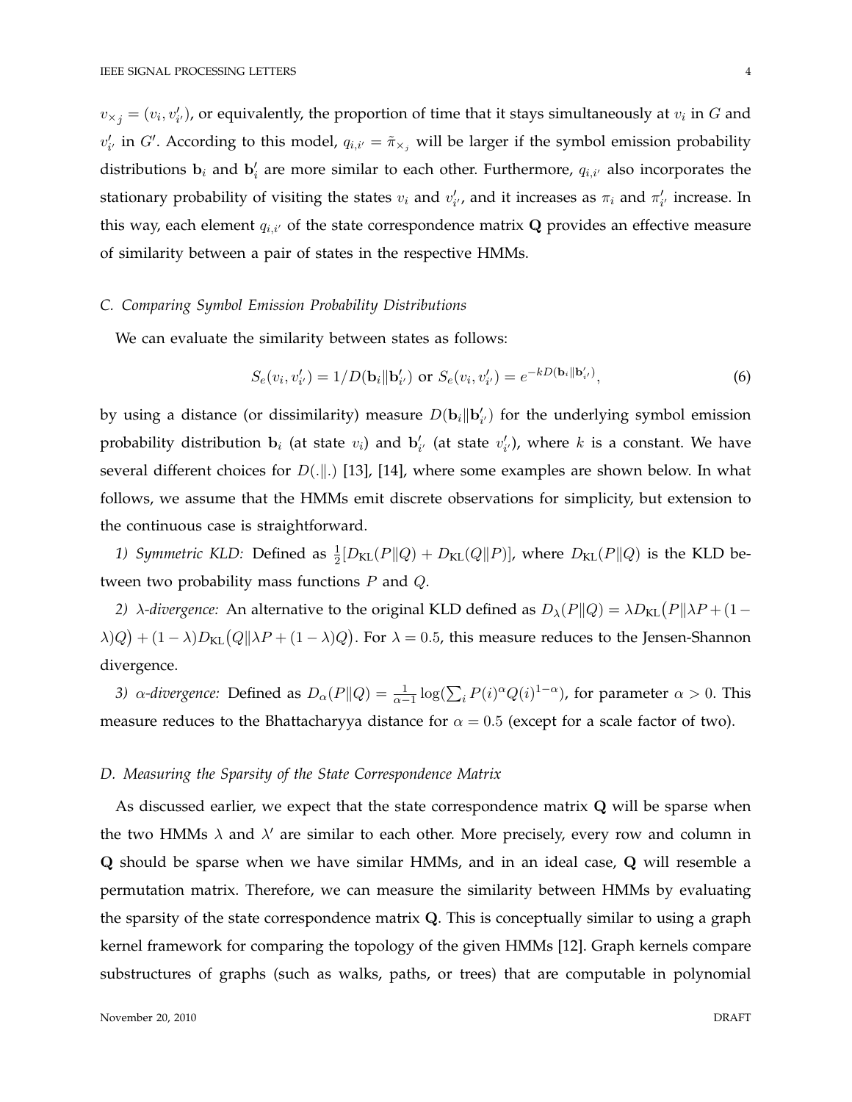$v_{\times j} = (v_i, v'_{i'})$ , or equivalently, the proportion of time that it stays simultaneously at  $v_i$  in  $G$  and  $v'_{i'}$  in G'. According to this model,  $q_{i,i'} = \tilde{\pi}_{\times_j}$  will be larger if the symbol emission probability distributions  $\mathbf{b}_i$  and  $\mathbf{b}'_i$  are more similar to each other. Furthermore,  $q_{i,i'}$  also incorporates the stationary probability of visiting the states  $v_i$  and  $v'_{i'}$ , and it increases as  $\pi_i$  and  $\pi'_{i'}$  increase. In this way, each element  $q_{i,i'}$  of the state correspondence matrix  $\bf{Q}$  provides an effective measure of similarity between a pair of states in the respective HMMs.

#### *C. Comparing Symbol Emission Probability Distributions*

We can evaluate the similarity between states as follows:

$$
S_e(v_i, v'_{i'}) = 1/D(\mathbf{b}_i || \mathbf{b}'_{i'}) \text{ or } S_e(v_i, v'_{i'}) = e^{-kD(\mathbf{b}_i || \mathbf{b}'_{i'})},\tag{6}
$$

by using a distance (or dissimilarity) measure  $D(\mathbf{b}_i || \mathbf{b}'_{i'})$  for the underlying symbol emission probability distribution  $\mathbf{b}_i$  (at state  $v_i$ ) and  $\mathbf{b}'_{i'}$  (at state  $v'_{i'}$ ), where  $k$  is a constant. We have several different choices for  $D(\cdot|\cdot)$  [13], [14], where some examples are shown below. In what follows, we assume that the HMMs emit discrete observations for simplicity, but extension to the continuous case is straightforward.

1) Symmetric KLD: Defined as  $\frac{1}{2}[D_{KL}(P||Q) + D_{KL}(Q||P)]$ , where  $D_{KL}(P||Q)$  is the KLD between two probability mass functions P and Q.

2)  $\lambda$ -divergence: An alternative to the original KLD defined as  $D_{\lambda}(P\|Q) = \lambda D_{\text{KL}}(P\|\lambda P + (1-P)P)$  $\lambda(Q) + (1 - \lambda)D_{\text{KL}}(Q\|\lambda P + (1 - \lambda)Q)$ . For  $\lambda = 0.5$ , this measure reduces to the Jensen-Shannon divergence.

*3)*  $\alpha$ -divergence: Defined as  $D_{\alpha}(P||Q) = \frac{1}{\alpha-1} \log(\sum_{i} P(i)^{\alpha} Q(i)^{1-\alpha})$ , for parameter  $\alpha > 0$ . This measure reduces to the Bhattacharyya distance for  $\alpha = 0.5$  (except for a scale factor of two).

#### *D. Measuring the Sparsity of the State Correspondence Matrix*

As discussed earlier, we expect that the state correspondence matrix Q will be sparse when the two HMMs  $\lambda$  and  $\lambda'$  are similar to each other. More precisely, every row and column in Q should be sparse when we have similar HMMs, and in an ideal case, Q will resemble a permutation matrix. Therefore, we can measure the similarity between HMMs by evaluating the sparsity of the state correspondence matrix  $Q$ . This is conceptually similar to using a graph kernel framework for comparing the topology of the given HMMs [12]. Graph kernels compare substructures of graphs (such as walks, paths, or trees) that are computable in polynomial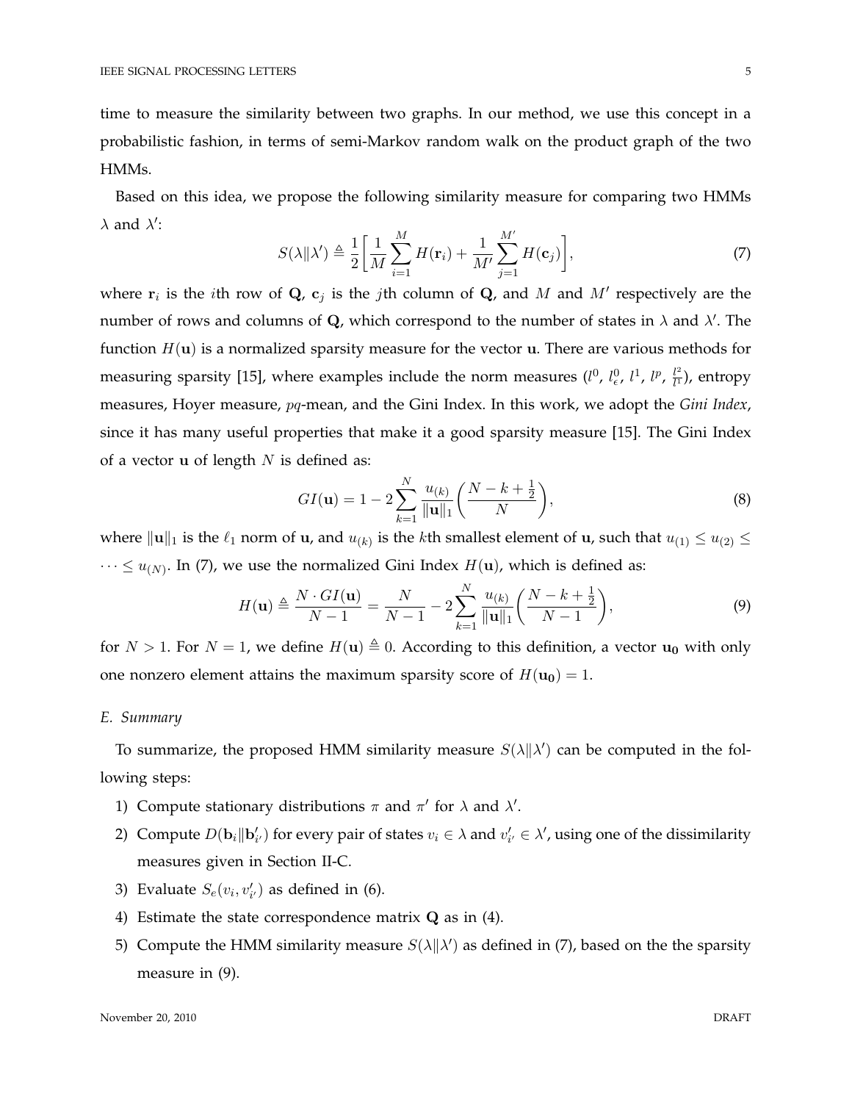time to measure the similarity between two graphs. In our method, we use this concept in a probabilistic fashion, in terms of semi-Markov random walk on the product graph of the two HMMs.

Based on this idea, we propose the following similarity measure for comparing two HMMs  $\lambda$  and  $\lambda'$ :

$$
S(\lambda \|\lambda') \triangleq \frac{1}{2} \bigg[ \frac{1}{M} \sum_{i=1}^{M} H(\mathbf{r}_i) + \frac{1}{M'} \sum_{j=1}^{M'} H(\mathbf{c}_j) \bigg],\tag{7}
$$

where  $\mathbf{r}_i$  is the *i*th row of **Q**,  $\mathbf{c}_j$  is the *j*th column of **Q**, and M and M' respectively are the number of rows and columns of Q, which correspond to the number of states in  $\lambda$  and  $\lambda'$ . The function  $H(\mathbf{u})$  is a normalized sparsity measure for the vector **u**. There are various methods for measuring sparsity [15], where examples include the norm measures  $(l^0, l^0_\epsilon, l^1, l^p, \frac{l^2}{l^1})$  $\frac{l^2}{l^1}$ ), entropy measures, Hoyer measure, pq-mean, and the Gini Index. In this work, we adopt the *Gini Index*, since it has many useful properties that make it a good sparsity measure [15]. The Gini Index of a vector  $u$  of length  $N$  is defined as:

$$
GI(\mathbf{u}) = 1 - 2\sum_{k=1}^{N} \frac{u_{(k)}}{\|\mathbf{u}\|_{1}} \left(\frac{N-k+\frac{1}{2}}{N}\right),
$$
\n(8)

where  $\|{\bf u}\|_1$  is the  $\ell_1$  norm of  ${\bf u}$ , and  $u_{(k)}$  is the kth smallest element of  ${\bf u}$ , such that  $u_{(1)} \leq u_{(2)} \leq$  $\cdots \leq u_{(N)}$ . In (7), we use the normalized Gini Index  $H(\mathbf{u})$ , which is defined as:

$$
H(\mathbf{u}) \triangleq \frac{N \cdot GI(\mathbf{u})}{N-1} = \frac{N}{N-1} - 2 \sum_{k=1}^{N} \frac{u_{(k)}}{\|\mathbf{u}\|_{1}} \left(\frac{N-k+\frac{1}{2}}{N-1}\right),
$$
(9)

for  $N > 1$ . For  $N = 1$ , we define  $H(\mathbf{u}) \triangleq 0$ . According to this definition, a vector  $\mathbf{u_0}$  with only one nonzero element attains the maximum sparsity score of  $H(\mathbf{u_0}) = 1$ .

# *E. Summary*

To summarize, the proposed HMM similarity measure  $S(\lambda || \lambda')$  can be computed in the following steps:

- 1) Compute stationary distributions  $\pi$  and  $\pi'$  for  $\lambda$  and  $\lambda'$ .
- 2) Compute  $D(\mathbf{b}_i||\mathbf{b}'_{i'})$  for every pair of states  $v_i \in \lambda$  and  $v'_{i'} \in \lambda'$ , using one of the dissimilarity measures given in Section II-C.
- 3) Evaluate  $S_e(v_i, v'_{i'})$  as defined in (6).
- 4) Estimate the state correspondence matrix  $Q$  as in (4).
- 5) Compute the HMM similarity measure  $S(\lambda || \lambda')$  as defined in (7), based on the the sparsity measure in (9).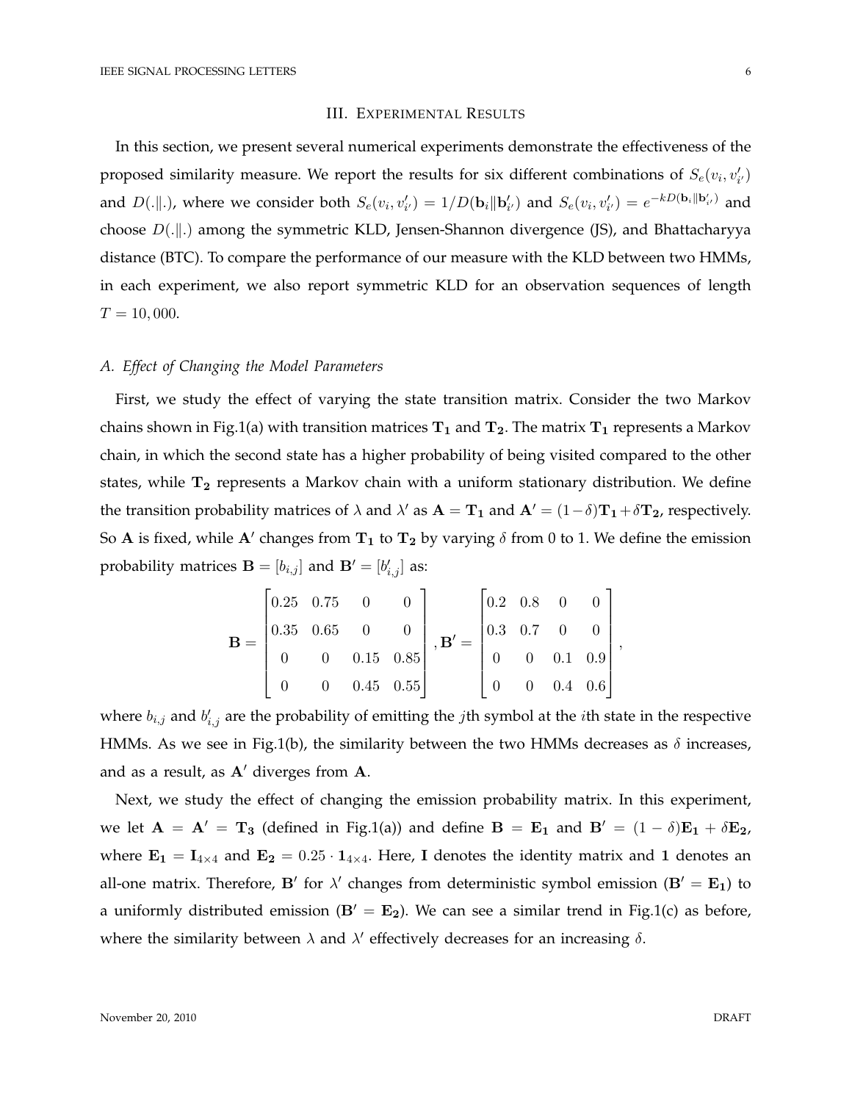#### III. EXPERIMENTAL RESULTS

In this section, we present several numerical experiments demonstrate the effectiveness of the proposed similarity measure. We report the results for six different combinations of  $S_e(v_i, v'_{i'})$ and  $D(.||.)$ , where we consider both  $S_e(v_i, v'_{i'}) = 1/D(\mathbf{b}_i || \mathbf{b}'_{i'})$  and  $S_e(v_i, v'_{i'}) = e^{-kD(\mathbf{b}_i || \mathbf{b}'_{i'})}$  and choose  $D(.||.)$  among the symmetric KLD, Jensen-Shannon divergence (JS), and Bhattacharyya distance (BTC). To compare the performance of our measure with the KLD between two HMMs, in each experiment, we also report symmetric KLD for an observation sequences of length  $T = 10,000.$ 

# *A. Effect of Changing the Model Parameters*

First, we study the effect of varying the state transition matrix. Consider the two Markov chains shown in Fig.1(a) with transition matrices  $T_1$  and  $T_2$ . The matrix  $T_1$  represents a Markov chain, in which the second state has a higher probability of being visited compared to the other states, while  $T_2$  represents a Markov chain with a uniform stationary distribution. We define the transition probability matrices of  $\lambda$  and  $\lambda'$  as  $\mathbf{A} = \mathbf{T}_1$  and  $\mathbf{A}' = (1 - \delta)\mathbf{T}_1 + \delta \mathbf{T}_2$ , respectively. So A is fixed, while A' changes from  $T_1$  to  $T_2$  by varying  $\delta$  from 0 to 1. We define the emission probability matrices  $\mathbf{B} = [b_{i,j}]$  and  $\mathbf{B}' = [b'_{i,j}]$  as:

$$
\mathbf{B} = \begin{bmatrix} 0.25 & 0.75 & 0 & 0 \\ 0.35 & 0.65 & 0 & 0 \\ 0 & 0 & 0.15 & 0.85 \\ 0 & 0 & 0.45 & 0.55 \end{bmatrix}, \mathbf{B'} = \begin{bmatrix} 0.2 & 0.8 & 0 & 0 \\ 0.3 & 0.7 & 0 & 0 \\ 0 & 0 & 0.1 & 0.9 \\ 0 & 0 & 0.4 & 0.6 \end{bmatrix}
$$

where  $b_{i,j}$  and  $b'_{i,j}$  are the probability of emitting the *j*th symbol at the *i*th state in the respective HMMs. As we see in Fig.1(b), the similarity between the two HMMs decreases as  $\delta$  increases, and as a result, as  $A'$  diverges from  $A$ .

Next, we study the effect of changing the emission probability matrix. In this experiment, we let  $A = A' = T_3$  (defined in Fig.1(a)) and define  $B = E_1$  and  $B' = (1 - \delta)E_1 + \delta E_2$ , where  $\mathbf{E_1} = \mathbf{I}_{4\times4}$  and  $\mathbf{E_2} = 0.25 \cdot \mathbf{1}_{4\times4}$ . Here, I denotes the identity matrix and 1 denotes an all-one matrix. Therefore, B' for  $\lambda'$  changes from deterministic symbol emission (B' =  $\mathbf{E}_1$ ) to a uniformly distributed emission  $(B' = E_2)$ . We can see a similar trend in Fig.1(c) as before, where the similarity between  $\lambda$  and  $\lambda'$  effectively decreases for an increasing  $\delta$ .

,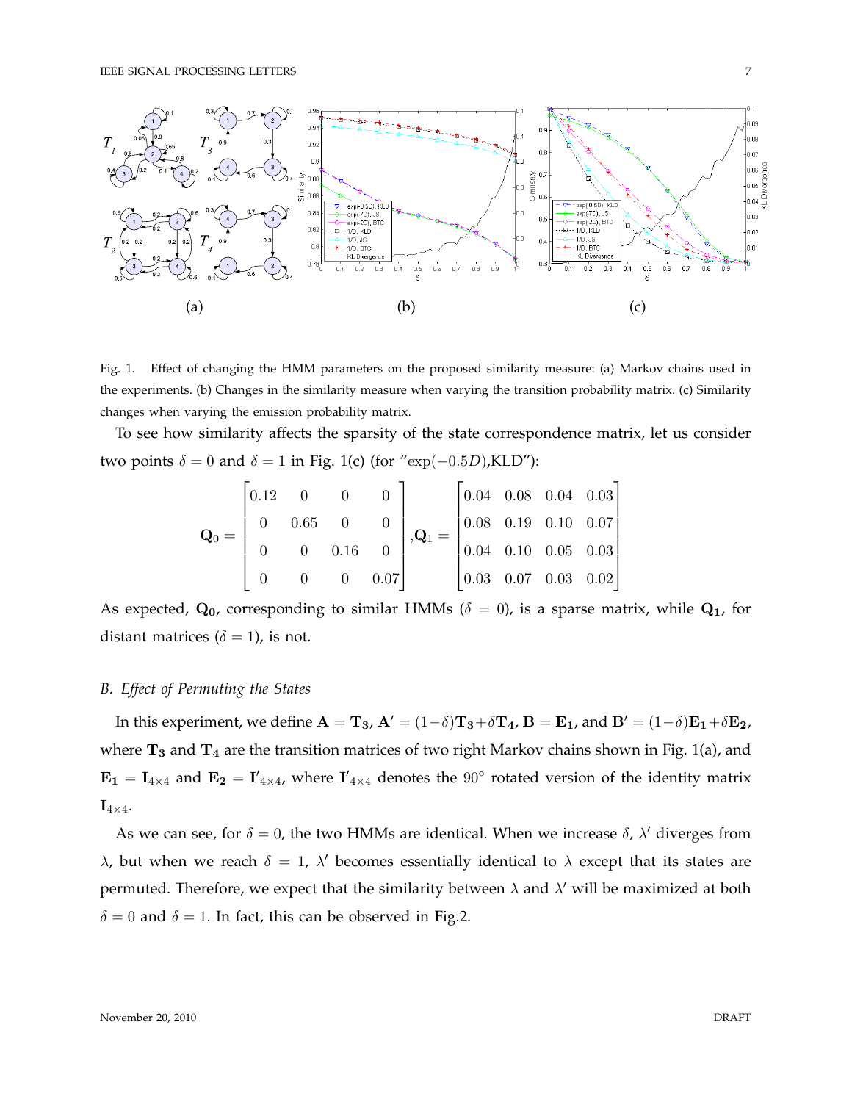

Fig. 1. Effect of changing the HMM parameters on the proposed similarity measure: (a) Markov chains used in the experiments. (b) Changes in the similarity measure when varying the transition probability matrix. (c) Similarity changes when varying the emission probability matrix.

To see how similarity affects the sparsity of the state correspondence matrix, let us consider two points  $\delta = 0$  and  $\delta = 1$  in Fig. 1(c) (for "exp(-0.5D),KLD"):

$$
\mathbf{Q}_0 = \begin{bmatrix} 0.12 & 0 & 0 & 0 \\ 0 & 0.65 & 0 & 0 \\ 0 & 0 & 0.16 & 0 \\ 0 & 0 & 0 & 0.07 \end{bmatrix}, \mathbf{Q}_1 = \begin{bmatrix} 0.04 & 0.08 & 0.04 & 0.03 \\ 0.08 & 0.19 & 0.10 & 0.07 \\ 0.04 & 0.10 & 0.05 & 0.03 \\ 0.03 & 0.07 & 0.03 & 0.02 \end{bmatrix}
$$

As expected,  $\mathbf{Q}_0$ , corresponding to similar HMMs ( $\delta = 0$ ), is a sparse matrix, while  $\mathbf{Q}_1$ , for distant matrices ( $\delta = 1$ ), is not.

# *B. Effect of Permuting the States*

In this experiment, we define  $\mathbf{A} = \mathbf{T_3}$ ,  $\mathbf{A}' = (1-\delta)\mathbf{T_3} + \delta \mathbf{T_4}$ ,  $\mathbf{B} = \mathbf{E_1}$ , and  $\mathbf{B}' = (1-\delta)\mathbf{E_1} + \delta \mathbf{E_2}$ , where  $T_3$  and  $T_4$  are the transition matrices of two right Markov chains shown in Fig. 1(a), and  $E_1 = I_{4\times4}$  and  $E_2 = I'_{4\times4}$ , where  $I'_{4\times4}$  denotes the  $90^{\circ}$  rotated version of the identity matrix  $\mathbf{I}_{4\times 4}$ .

As we can see, for  $\delta = 0$ , the two HMMs are identical. When we increase  $\delta$ ,  $\lambda'$  diverges from λ, but when we reach  $\delta = 1$ ,  $\lambda'$  becomes essentially identical to  $\lambda$  except that its states are permuted. Therefore, we expect that the similarity between  $\lambda$  and  $\lambda'$  will be maximized at both  $\delta = 0$  and  $\delta = 1$ . In fact, this can be observed in Fig.2.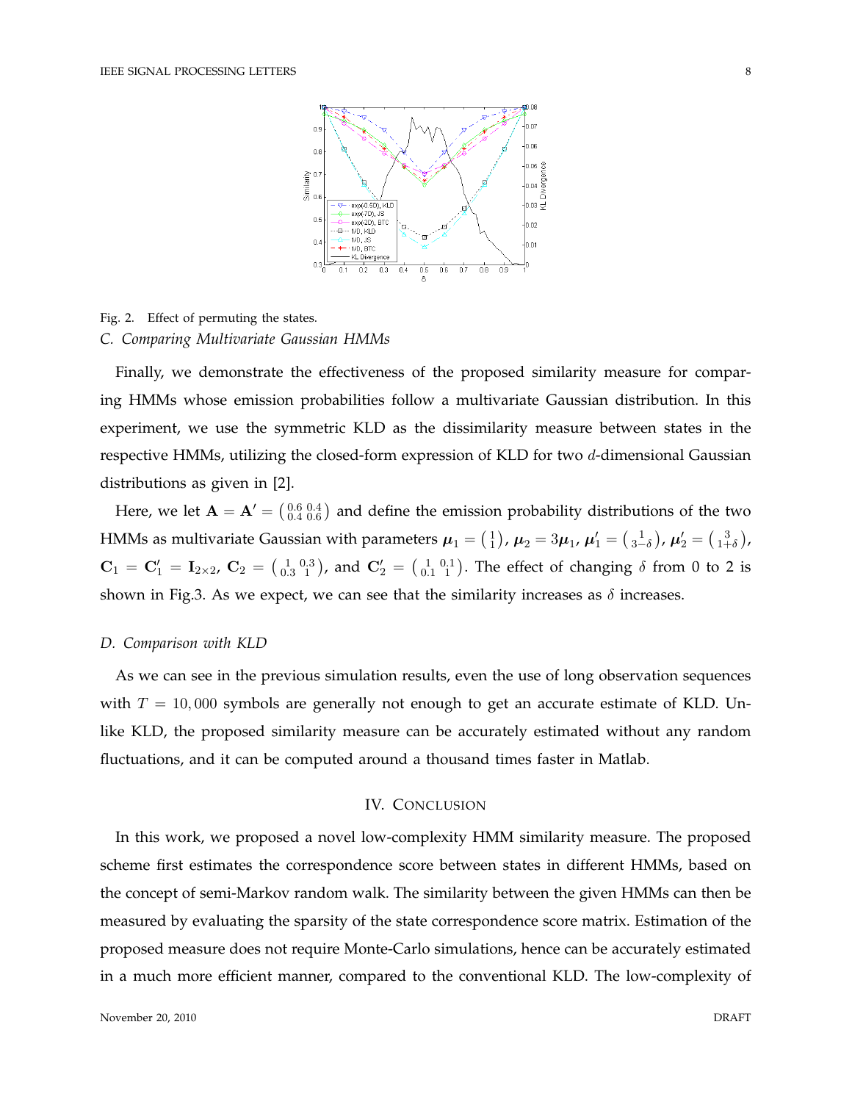

Fig. 2. Effect of permuting the states. *C. Comparing Multivariate Gaussian HMMs*

Finally, we demonstrate the effectiveness of the proposed similarity measure for comparing HMMs whose emission probabilities follow a multivariate Gaussian distribution. In this experiment, we use the symmetric KLD as the dissimilarity measure between states in the respective HMMs, utilizing the closed-form expression of KLD for two d-dimensional Gaussian distributions as given in [2].

Here, we let  $\mathbf{A} = \mathbf{A}' = \begin{pmatrix} 0.6 & 0.4 \\ 0.4 & 0.6 \end{pmatrix}$  and define the emission probability distributions of the two HMMs as multivariate Gaussian with parameters  $\bm{\mu}_1= \left(\frac{1}{1}\right)$ ,  $\bm{\mu}_2=3\bm{\mu}_1$ ,  $\bm{\mu}_1'=\left(\frac{1}{3-\delta}\right)$ ,  $\bm{\mu}_2'=\left(\frac{3}{1+\delta}\right)$ ,  $C_1 = C_1' = I_{2\times 2}$ ,  $C_2 = \begin{pmatrix} 1 & 0.3 \\ 0.3 & 1 \end{pmatrix}$ , and  $C_2' = \begin{pmatrix} 1 & 0.1 \\ 0.1 & 1 \end{pmatrix}$ . The effect of changing  $\delta$  from 0 to 2 is shown in Fig.3. As we expect, we can see that the similarity increases as  $\delta$  increases.

## *D. Comparison with KLD*

As we can see in the previous simulation results, even the use of long observation sequences with  $T = 10,000$  symbols are generally not enough to get an accurate estimate of KLD. Unlike KLD, the proposed similarity measure can be accurately estimated without any random fluctuations, and it can be computed around a thousand times faster in Matlab.

# IV. CONCLUSION

In this work, we proposed a novel low-complexity HMM similarity measure. The proposed scheme first estimates the correspondence score between states in different HMMs, based on the concept of semi-Markov random walk. The similarity between the given HMMs can then be measured by evaluating the sparsity of the state correspondence score matrix. Estimation of the proposed measure does not require Monte-Carlo simulations, hence can be accurately estimated in a much more efficient manner, compared to the conventional KLD. The low-complexity of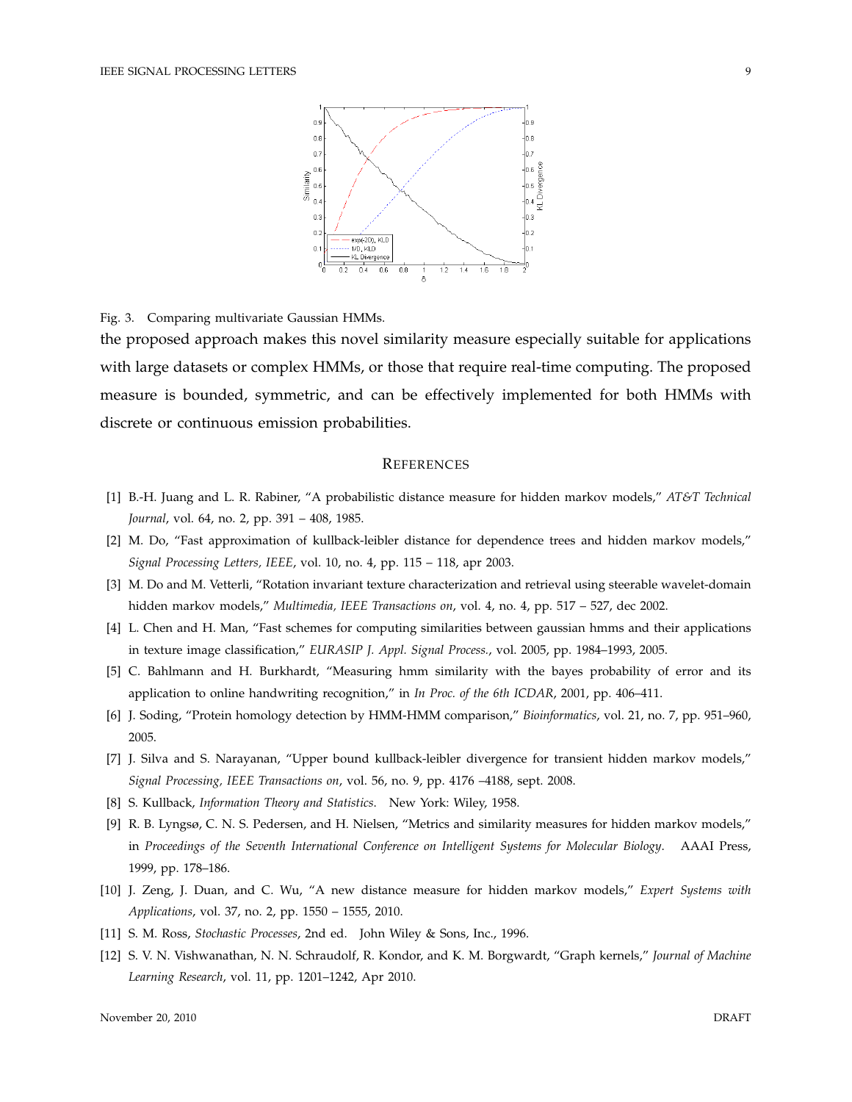

Fig. 3. Comparing multivariate Gaussian HMMs.

the proposed approach makes this novel similarity measure especially suitable for applications with large datasets or complex HMMs, or those that require real-time computing. The proposed measure is bounded, symmetric, and can be effectively implemented for both HMMs with discrete or continuous emission probabilities.

#### **REFERENCES**

- [1] B.-H. Juang and L. R. Rabiner, "A probabilistic distance measure for hidden markov models," *AT&T Technical Journal*, vol. 64, no. 2, pp. 391 – 408, 1985.
- [2] M. Do, "Fast approximation of kullback-leibler distance for dependence trees and hidden markov models," *Signal Processing Letters, IEEE*, vol. 10, no. 4, pp. 115 – 118, apr 2003.
- [3] M. Do and M. Vetterli, "Rotation invariant texture characterization and retrieval using steerable wavelet-domain hidden markov models," *Multimedia, IEEE Transactions on*, vol. 4, no. 4, pp. 517 – 527, dec 2002.
- [4] L. Chen and H. Man, "Fast schemes for computing similarities between gaussian hmms and their applications in texture image classification," *EURASIP J. Appl. Signal Process.*, vol. 2005, pp. 1984–1993, 2005.
- [5] C. Bahlmann and H. Burkhardt, "Measuring hmm similarity with the bayes probability of error and its application to online handwriting recognition," in *In Proc. of the 6th ICDAR*, 2001, pp. 406–411.
- [6] J. Soding, "Protein homology detection by HMM-HMM comparison," *Bioinformatics*, vol. 21, no. 7, pp. 951–960, 2005.
- [7] J. Silva and S. Narayanan, "Upper bound kullback-leibler divergence for transient hidden markov models," *Signal Processing, IEEE Transactions on*, vol. 56, no. 9, pp. 4176 –4188, sept. 2008.
- [8] S. Kullback, *Information Theory and Statistics*. New York: Wiley, 1958.
- [9] R. B. Lyngsø, C. N. S. Pedersen, and H. Nielsen, "Metrics and similarity measures for hidden markov models," in *Proceedings of the Seventh International Conference on Intelligent Systems for Molecular Biology*. AAAI Press, 1999, pp. 178–186.
- [10] J. Zeng, J. Duan, and C. Wu, "A new distance measure for hidden markov models," *Expert Systems with Applications*, vol. 37, no. 2, pp. 1550 – 1555, 2010.
- [11] S. M. Ross, *Stochastic Processes*, 2nd ed. John Wiley & Sons, Inc., 1996.
- [12] S. V. N. Vishwanathan, N. N. Schraudolf, R. Kondor, and K. M. Borgwardt, "Graph kernels," *Journal of Machine Learning Research*, vol. 11, pp. 1201–1242, Apr 2010.